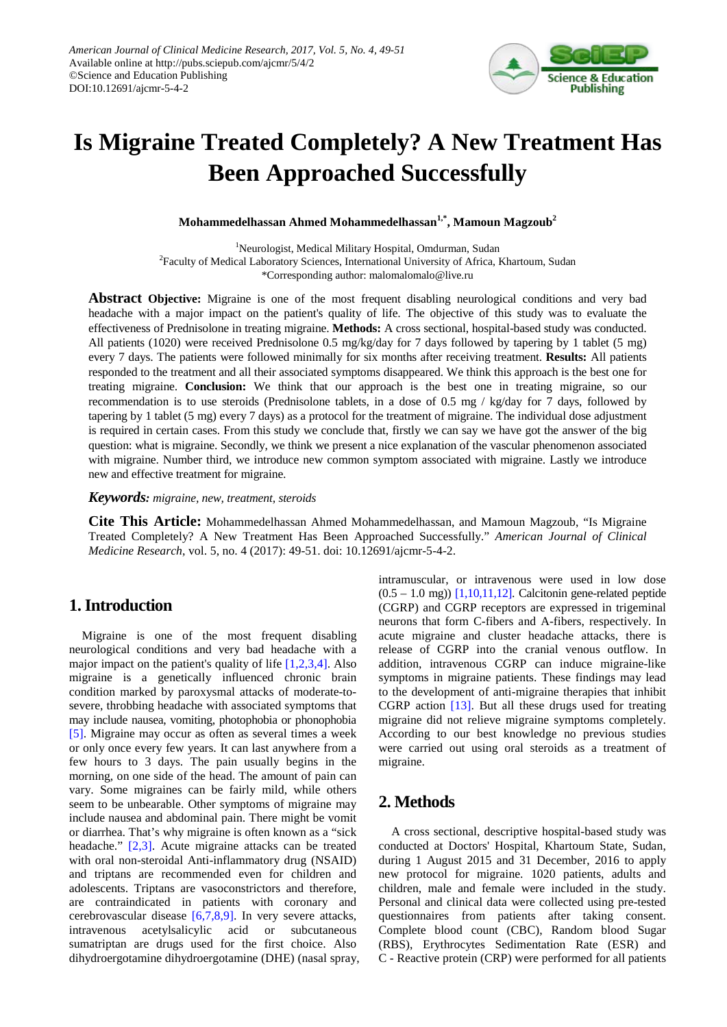

# **Is Migraine Treated Completely? A New Treatment Has Been Approached Successfully**

**Mohammedelhassan Ahmed Mohammedelhassan1,\*, Mamoun Magzoub2**

<sup>1</sup>Neurologist, Medical Military Hospital, Omdurman, Sudan <sup>2</sup> Faculty of Medical Laboratory Sciences, International University of Africa, Khartoum, Sudan \*Corresponding author: malomalomalo@live.ru

**Abstract Objective:** Migraine is one of the most frequent disabling neurological conditions and very bad headache with a major impact on the patient's quality of life. The objective of this study was to evaluate the effectiveness of Prednisolone in treating migraine. **Methods:** A cross sectional, hospital-based study was conducted. All patients (1020) were received Prednisolone 0.5 mg/kg/day for 7 days followed by tapering by 1 tablet (5 mg) every 7 days. The patients were followed minimally for six months after receiving treatment. **Results:** All patients responded to the treatment and all their associated symptoms disappeared. We think this approach is the best one for treating migraine. **Conclusion:** We think that our approach is the best one in treating migraine, so our recommendation is to use steroids (Prednisolone tablets, in a dose of 0.5 mg / kg/day for 7 days, followed by tapering by 1 tablet (5 mg) every 7 days) as a protocol for the treatment of migraine. The individual dose adjustment is required in certain cases. From this study we conclude that, firstly we can say we have got the answer of the big question: what is migraine. Secondly, we think we present a nice explanation of the vascular phenomenon associated with migraine. Number third, we introduce new common symptom associated with migraine. Lastly we introduce new and effective treatment for migraine.

*Keywords: migraine, new, treatment, steroids*

**Cite This Article:** Mohammedelhassan Ahmed Mohammedelhassan, and Mamoun Magzoub, "Is Migraine Treated Completely? A New Treatment Has Been Approached Successfully." *American Journal of Clinical Medicine Research*, vol. 5, no. 4 (2017): 49-51. doi: 10.12691/ajcmr-5-4-2.

# **1. Introduction**

Migraine is one of the most frequent disabling neurological conditions and very bad headache with a major impact on the patient's quality of life [\[1,2,3,4\].](#page-2-0) Also migraine is a genetically influenced chronic brain condition marked by paroxysmal attacks of moderate-tosevere, throbbing headache with associated symptoms that may include nausea, vomiting, photophobia or phonophobia [\[5\].](#page-2-1) Migraine may occur as often as several times a week or only once every few years. It can last anywhere from a few hours to 3 days. The pain usually begins in the morning, on one side of the head. The amount of pain can vary. Some migraines can be fairly mild, while others seem to be unbearable. Other symptoms of migraine may include nausea and abdominal pain. There might be vomit or diarrhea. That's why migraine is often known as a "sick headache." [\[2,3\].](#page-2-2) Acute migraine attacks can be treated with oral non-steroidal Anti-inflammatory drug (NSAID) and triptans are recommended even for children and adolescents. Triptans are vasoconstrictors and therefore, are contraindicated in patients with coronary and cerebrovascular disease [\[6,7,8,9\].](#page-2-3) In very severe attacks, intravenous acetylsalicylic acid or subcutaneous sumatriptan are drugs used for the first choice. Also dihydroergotamine dihydroergotamine (DHE) (nasal spray, intramuscular, or intravenous were used in low dose  $(0.5 - 1.0$  mg))  $[1,10,11,12]$ . Calcitonin gene-related peptide (CGRP) and CGRP receptors are expressed in trigeminal neurons that form C-fibers and A-fibers, respectively. In acute migraine and cluster headache attacks, there is release of CGRP into the cranial venous outflow. In addition, intravenous CGRP can induce migraine-like symptoms in migraine patients. These findings may lead to the development of anti-migraine therapies that inhibit CGRP action [\[13\].](#page-2-4) But all these drugs used for treating migraine did not relieve migraine symptoms completely. According to our best knowledge no previous studies were carried out using oral steroids as a treatment of migraine.

# **2. Methods**

A cross sectional, descriptive hospital-based study was conducted at Doctors' Hospital, Khartoum State, Sudan, during 1 August 2015 and 31 December, 2016 to apply new protocol for migraine. 1020 patients, adults and children, male and female were included in the study. Personal and clinical data were collected using pre-tested questionnaires from patients after taking consent. Complete blood count (CBC), Random blood Sugar (RBS), Erythrocytes Sedimentation Rate (ESR) and C - Reactive protein (CRP) were performed for all patients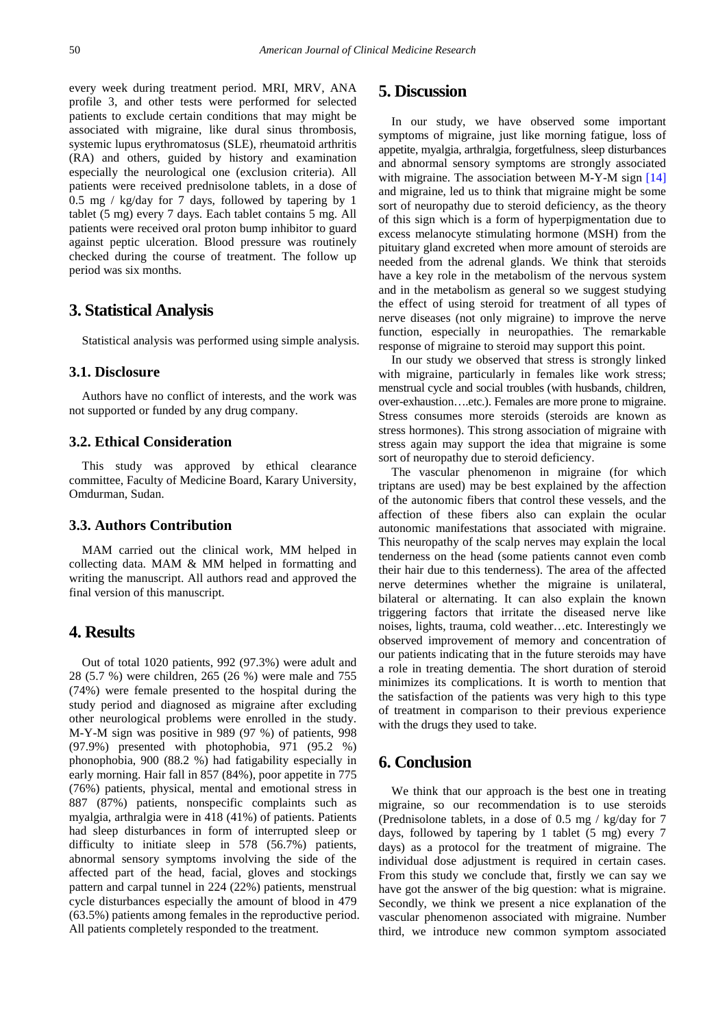every week during treatment period. MRI, MRV, ANA profile 3, and other tests were performed for selected patients to exclude certain conditions that may might be associated with migraine, like dural sinus thrombosis, systemic lupus erythromatosus (SLE), rheumatoid arthritis (RA) and others, guided by history and examination especially the neurological one (exclusion criteria). All patients were received prednisolone tablets, in a dose of 0.5 mg / kg/day for 7 days, followed by tapering by 1 tablet (5 mg) every 7 days. Each tablet contains 5 mg. All patients were received oral proton bump inhibitor to guard against peptic ulceration. Blood pressure was routinely checked during the course of treatment. The follow up period was six months.

#### **3. Statistical Analysis**

Statistical analysis was performed using simple analysis.

#### **3.1. Disclosure**

Authors have no conflict of interests, and the work was not supported or funded by any drug company.

#### **3.2. Ethical Consideration**

This study was approved by ethical clearance committee, Faculty of Medicine Board, Karary University, Omdurman, Sudan.

#### **3.3. Authors Contribution**

MAM carried out the clinical work, MM helped in collecting data. MAM & MM helped in formatting and writing the manuscript. All authors read and approved the final version of this manuscript.

#### **4. Results**

Out of total 1020 patients, 992 (97.3%) were adult and 28 (5.7 %) were children, 265 (26 %) were male and 755 (74%) were female presented to the hospital during the study period and diagnosed as migraine after excluding other neurological problems were enrolled in the study. M-Y-M sign was positive in 989 (97 %) of patients, 998 (97.9%) presented with photophobia, 971 (95.2 %) phonophobia, 900 (88.2 %) had fatigability especially in early morning. Hair fall in 857 (84%), poor appetite in 775 (76%) patients, physical, mental and emotional stress in 887 (87%) patients, nonspecific complaints such as myalgia, arthralgia were in 418 (41%) of patients. Patients had sleep disturbances in form of interrupted sleep or difficulty to initiate sleep in 578 (56.7%) patients, abnormal sensory symptoms involving the side of the affected part of the head, facial, gloves and stockings pattern and carpal tunnel in 224 (22%) patients, menstrual cycle disturbances especially the amount of blood in 479 (63.5%) patients among females in the reproductive period. All patients completely responded to the treatment.

# **5. Discussion**

In our study, we have observed some important symptoms of migraine, just like morning fatigue, loss of appetite, myalgia, arthralgia, forgetfulness, sleep disturbances and abnormal sensory symptoms are strongly associated with migraine. The association between M-Y-M sign [\[14\]](#page-2-5) and migraine, led us to think that migraine might be some sort of neuropathy due to steroid deficiency, as the theory of this sign which is a form of hyperpigmentation due to excess melanocyte stimulating hormone (MSH) from the pituitary gland excreted when more amount of steroids are needed from the adrenal glands. We think that steroids have a key role in the metabolism of the nervous system and in the metabolism as general so we suggest studying the effect of using steroid for treatment of all types of nerve diseases (not only migraine) to improve the nerve function, especially in neuropathies. The remarkable response of migraine to steroid may support this point.

In our study we observed that stress is strongly linked with migraine, particularly in females like work stress; menstrual cycle and social troubles (with husbands, children, over-exhaustion….etc.). Females are more prone to migraine. Stress consumes more steroids (steroids are known as stress hormones). This strong association of migraine with stress again may support the idea that migraine is some sort of neuropathy due to steroid deficiency.

The vascular phenomenon in migraine (for which triptans are used) may be best explained by the affection of the autonomic fibers that control these vessels, and the affection of these fibers also can explain the ocular autonomic manifestations that associated with migraine. This neuropathy of the scalp nerves may explain the local tenderness on the head (some patients cannot even comb their hair due to this tenderness). The area of the affected nerve determines whether the migraine is unilateral, bilateral or alternating. It can also explain the known triggering factors that irritate the diseased nerve like noises, lights, trauma, cold weather…etc. Interestingly we observed improvement of memory and concentration of our patients indicating that in the future steroids may have a role in treating dementia. The short duration of steroid minimizes its complications. It is worth to mention that the satisfaction of the patients was very high to this type of treatment in comparison to their previous experience with the drugs they used to take.

# **6. Conclusion**

We think that our approach is the best one in treating migraine, so our recommendation is to use steroids (Prednisolone tablets, in a dose of 0.5 mg / kg/day for 7 days, followed by tapering by 1 tablet (5 mg) every 7 days) as a protocol for the treatment of migraine. The individual dose adjustment is required in certain cases. From this study we conclude that, firstly we can say we have got the answer of the big question: what is migraine. Secondly, we think we present a nice explanation of the vascular phenomenon associated with migraine. Number third, we introduce new common symptom associated